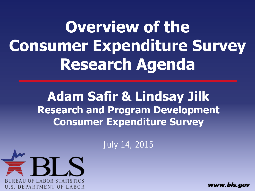**Overview of the Consumer Expenditure Survey Research Agenda**

> **Adam Safir & Lindsay Jilk Research and Program Development Consumer Expenditure Survey**

> > July 14, 2015



www.bls.aov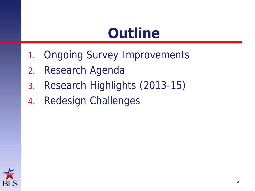# **Outline**

- 1. Ongoing Survey Improvements
- 2. Research Agenda
- 3. Research Highlights (2013-15)
- 4. Redesign Challenges

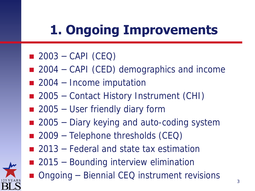# **1. Ongoing Improvements**

- $\Box$  2003 CAPI (CEQ)
- $\blacksquare$  2004 CAPI (CED) demographics and income
- $\blacksquare$  2004 Income imputation
- 2005 Contact History Instrument (CHI)
- 2005 User friendly diary form
- 2005 Diary keying and auto-coding system
- $\blacksquare$  2009 Telephone thresholds (CEQ)
- 2013 Federal and state tax estimation
- 2015 Bounding interview elimination
- Ongoing Biennial CEQ instrument revisions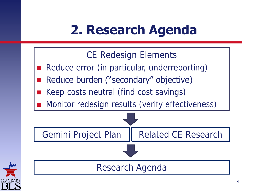## **2. Research Agenda**



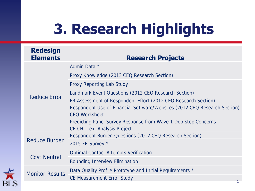# **3. Research Highlights**

| <b>Redesign</b><br><b>Elements</b> | <b>Research Projects</b>                                                  |
|------------------------------------|---------------------------------------------------------------------------|
| Reduce Error                       | Admin Data *                                                              |
|                                    | Proxy Knowledge (2013 CEQ Research Section)                               |
|                                    | Proxy Reporting Lab Study                                                 |
|                                    | Landmark Event Questions (2012 CEQ Research Section)                      |
|                                    | FR Assessment of Respondent Effort (2012 CEQ Research Section)            |
|                                    | Respondent Use of Financial Software/Websites (2012 CEQ Research Section) |
|                                    | <b>CEQ Worksheet</b>                                                      |
|                                    | Predicting Panel Survey Response from Wave 1 Doorstep Concerns            |
|                                    | <b>CE CHI Text Analysis Project</b>                                       |
| Reduce Burden                      | Respondent Burden Questions (2012 CEQ Research Section)                   |
|                                    | 2015 FR Survey *                                                          |
| <b>Cost Neutral</b>                | Optimal Contact Attempts Verification                                     |
|                                    | <b>Bounding Interview Elimination</b>                                     |
| <b>Monitor Results</b>             | Data Quality Profile Prototype and Initial Requirements *                 |
|                                    | <b>CE Measurement Error Study</b><br>口                                    |
|                                    |                                                                           |

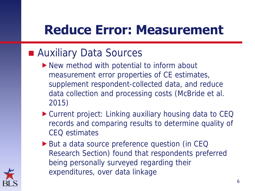### **Auxiliary Data Sources**

- ▶ New method with potential to inform about measurement error properties of CE estimates, supplement respondent-collected data, and reduce data collection and processing costs (McBride et al. 2015)
- ▶ Current project: Linking auxiliary housing data to CEQ records and comparing results to determine quality of CEQ estimates
- ▶ But a data source preference question (in CEQ Research Section) found that respondents preferred being personally surveyed regarding their expenditures, over data linkage

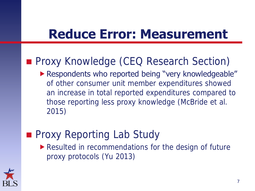### **Proxy Knowledge (CEQ Research Section)**

**Respondents who reported being "very knowledgeable"** of other consumer unit member expenditures showed an increase in total reported expenditures compared to those reporting less proxy knowledge (McBride et al. 2015)

### **Proxy Reporting Lab Study** Resulted in recommendations for the design of future proxy protocols (Yu 2013)

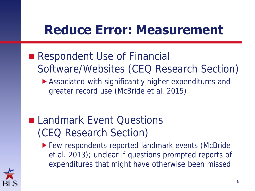- Respondent Use of Financial Software/Websites (CEQ Research Section)
	- Associated with significantly higher expenditures and greater record use (McBride et al. 2015)
- **Landmark Event Questions** (CEQ Research Section)
	- ▶ Few respondents reported landmark events (McBride et al. 2013); unclear if questions prompted reports of expenditures that might have otherwise been missed

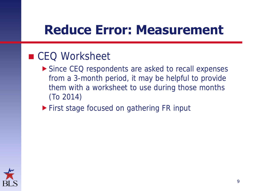### ■ CEQ Worksheet

- Since CEQ respondents are asked to recall expenses from a 3-month period, it may be helpful to provide them with a worksheet to use during those months (To 2014)
- **First stage focused on gathering FR input**

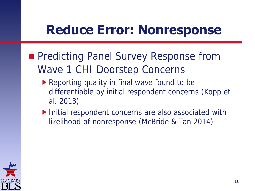### **Reduce Error: Nonresponse**

- **Predicting Panel Survey Response from** Wave 1 CHI Doorstep Concerns
	- Reporting quality in final wave found to be differentiable by initial respondent concerns (Kopp et al. 2013)
	- ▶ Initial respondent concerns are also associated with likelihood of nonresponse (McBride & Tan 2014)

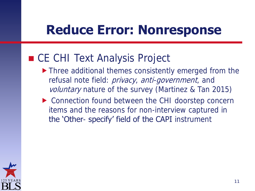### **Reduce Error: Nonresponse**

### ■ CE CHI Text Analysis Project

- ▶ Three additional themes consistently emerged from the refusal note field: privacy, anti-government, and voluntary nature of the survey (Martinez & Tan 2015)
- ▶ Connection found between the CHI doorstep concern items and the reasons for non-interview captured in the 'Other- specify' field of the CAPI instrument

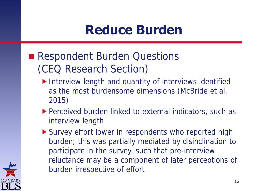## **Reduce Burden**

- Respondent Burden Questions (CEQ Research Section)
	- Interview length and quantity of interviews identified as the most burdensome dimensions (McBride et al. 2015)
	- ▶ Perceived burden linked to external indicators, such as interview length
	- Survey effort lower in respondents who reported high burden; this was partially mediated by disinclination to participate in the survey, such that pre-interview reluctance may be a component of later perceptions of burden irrespective of effort

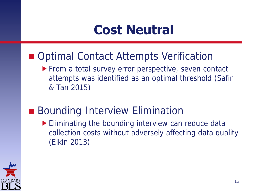### **Cost Neutral**

- Optimal Contact Attempts Verification
	- **From a total survey error perspective, seven contact** attempts was identified as an optimal threshold (Safir & Tan 2015)
- **Bounding Interview Elimination** Eliminating the bounding interview can reduce data collection costs without adversely affecting data quality (Elkin 2013)

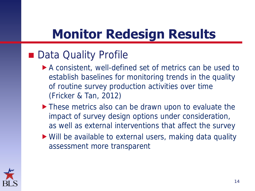# **Monitor Redesign Results**

### ■ Data Quality Profile

- A consistent, well-defined set of metrics can be used to establish baselines for monitoring trends in the quality of routine survey production activities over time (Fricker & Tan, 2012)
- ▶ These metrics also can be drawn upon to evaluate the impact of survey design options under consideration, as well as external interventions that affect the survey
- Will be available to external users, making data quality assessment more transparent

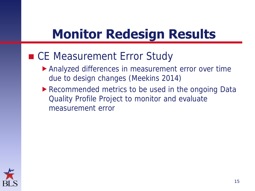# **Monitor Redesign Results**

### ■ CE Measurement Error Study

- Analyzed differences in measurement error over time due to design changes (Meekins 2014)
- Recommended metrics to be used in the ongoing Data Quality Profile Project to monitor and evaluate measurement error

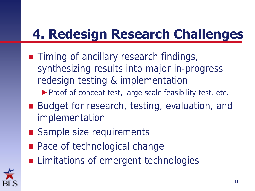# **4. Redesign Research Challenges**

- **Timing of ancillary research findings,** synthesizing results into major in-progress redesign testing & implementation
	- Proof of concept test, large scale feasibility test, etc.
- Budget for research, testing, evaluation, and implementation
- Sample size requirements
- **Pace of technological change**
- **Limitations of emergent technologies**

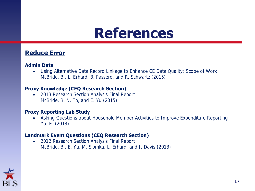### **Reduce Error**

#### **Admin Data**

 Using Alternative Data Record Linkage to Enhance CE Data Quality: Scope of Work McBride, B., L. Erhard, B. Passero, and R. Schwartz (2015)

#### **Proxy Knowledge (CEQ Research Section)**

• 2013 Research Section Analysis Final Report McBride, B, N. To, and E. Yu (2015)

#### **Proxy Reporting Lab Study**

 Asking Questions about Household Member Activities to Improve Expenditure Reporting Yu, E. (2013)

#### **Landmark Event Questions (CEQ Research Section)**

• 2012 Research Section Analysis Final Report McBride, B., E. Yu, M. Slomka, L. Erhard, and J. Davis (2013)

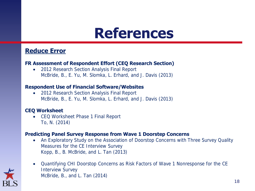### **Reduce Error**

#### **FR Assessment of Respondent Effort (CEQ Research Section)**

 2012 Research Section Analysis Final Report McBride, B., E. Yu, M. Slomka, L. Erhard, and J. Davis (2013)

#### **Respondent Use of Financial Software/Websites**

• 2012 Research Section Analysis Final Report McBride, B., E. Yu, M. Slomka, L. Erhard, and J. Davis (2013)

#### **CEQ Worksheet**

• CEQ Worksheet Phase 1 Final Report To, N. (2014)

#### **Predicting Panel Survey Response from Wave 1 Doorstep Concerns**

 An Exploratory Study on the Association of Doorstop Concerns with Three Survey Quality Measures for the CE Interview Survey Kopp, B., B. McBride, and L. Tan (2013)



 Quantifying CHI Doorstop Concerns as Risk Factors of Wave 1 Nonresponse for the CE Interview Survey McBride, B., and L. Tan (2014)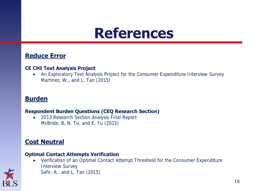### **Reduce Error**

#### **CE CHI Text Analysis Project**

 An Exploratory Text Analysis Project for the Consumer Expenditure Interview Survey Martinez, W., and L. Tan (2015)

### **Burden**

#### **Respondent Burden Questions (CEQ Research Section)**

• 2013 Research Section Analysis Final Report McBride, B, N. To, and E. Yu (2015)

### **Cost Neutral**

#### **Optimal Contact Attempts Verification**

 Verification of an Optimal Contact Attempt Threshold for the Consumer Expenditure Interview Survey Safir, A., and L. Tan (2015)

19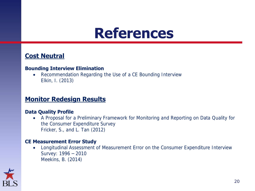### **Cost Neutral**

#### **Bounding Interview Elimination**

 Recommendation Regarding the Use of a CE Bounding Interview Elkin, I. (2013)

### **Monitor Redesign Results**

#### **Data Quality Profile**

 A Proposal for a Preliminary Framework for Monitoring and Reporting on Data Quality for the Consumer Expenditure Survey Fricker, S., and L. Tan (2012)

#### **CE Measurement Error Study**

 Longitudinal Assessment of Measurement Error on the Consumer Expenditure Interview Survey: 1996 – 2010 Meekins, B. (2014)